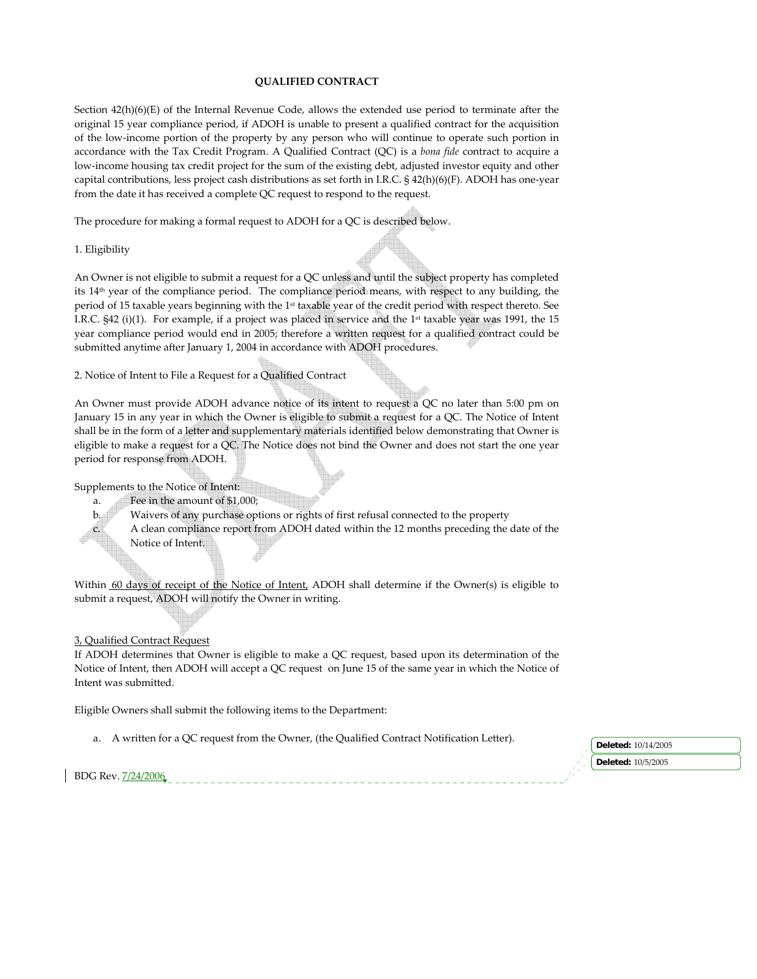#### **QUALIFIED CONTRACT**

Section 42(h)(6)(E) of the Internal Revenue Code, allows the extended use period to terminate after the original 15 year compliance period, if ADOH is unable to present a qualified contract for the acquisition of the low‐income portion of the property by any person who will continue to operate such portion in accordance with the Tax Credit Program. A Qualified Contract (QC) is a *bona fide* contract to acquire a low-income housing tax credit project for the sum of the existing debt, adjusted investor equity and other capital contributions, less project cash distributions as set forth in I.R.C. § 42(h)(6)(F). ADOH has one‐year from the date it has received a complete QC request to respond to the request.

The procedure for making a formal request to ADOH for a QC is described below.

### 1. Eligibility

An Owner is not eligible to submit a request for a QC unless and until the subject property has completed its 14th year of the compliance period. The compliance period means, with respect to any building, the period of 15 taxable years beginning with the 1st taxable year of the credit period with respect thereto. See I.R.C.  $\S42$  (i)(1). For example, if a project was placed in service and the 1<sup>st</sup> taxable year was 1991, the 15 year compliance period would end in 2005; therefore a written request for a qualified contract could be submitted anytime after January 1, 2004 in accordance with ADOH procedures.

2. Notice of Intent to File a Request for a Qualified Contract

An Owner must provide ADOH advance notice of its intent to request a QC no later than 5:00 pm on January 15 in any year in which the Owner is eligible to submit a request for a QC. The Notice of Intent shall be in the form of a letter and supplementary materials identified below demonstrating that Owner is eligible to make a request for a QC. The Notice does not bind the Owner and does not start the one year period for response from ADOH.

Supplements to the Notice of Intent:

- a. Fee in the amount of \$1,000;
- b. Waivers of any purchase options or rights of first refusal connected to the property
- c. A clean compliance report from ADOH dated within the 12 months preceding the date of the Notice of Intent.

Within 60 days of receipt of the Notice of Intent, ADOH shall determine if the Owner(s) is eligible to submit a request, ADOH will notify the Owner in writing.

### 3, Qualified Contract Request

If ADOH determines that Owner is eligible to make a QC request, based upon its determination of the Notice of Intent, then ADOH will accept a QC request on June 15 of the same year in which the Notice of Intent was submitted.

Eligible Owners shall submit the following items to the Department:

a. A written for a QC request from the Owner, (the Qualified Contract Notification Letter).

**Deleted:** 10/5/2005

BDG Rev. 7/24/2006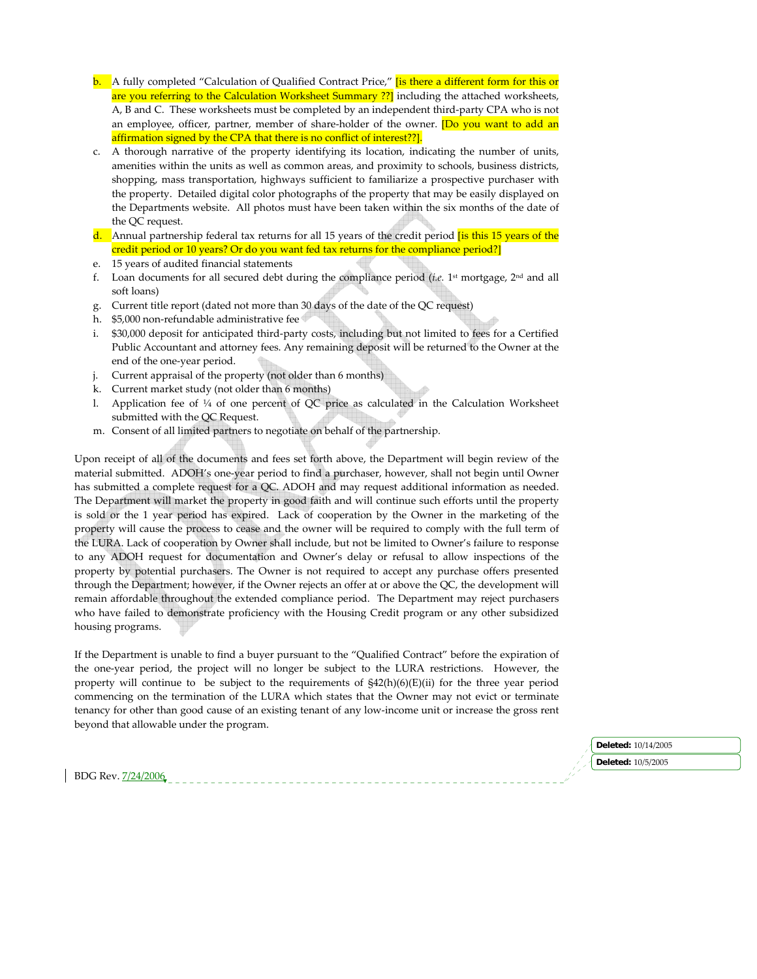- **b.** A fully completed "Calculation of Qualified Contract Price," **is there a different form for this or** are you referring to the Calculation Worksheet Summary ??] including the attached worksheets, A, B and C. These worksheets must be completed by an independent third‐party CPA who is not an employee, officer, partner, member of share-holder of the owner. **[Do you want to add an** affirmation signed by the CPA that there is no conflict of interest??].
- c. A thorough narrative of the property identifying its location, indicating the number of units, amenities within the units as well as common areas, and proximity to schools, business districts, shopping, mass transportation, highways sufficient to familiarize a prospective purchaser with the property. Detailed digital color photographs of the property that may be easily displayed on the Departments website. All photos must have been taken within the six months of the date of the QC request.
- d. Annual partnership federal tax returns for all 15 years of the credit period *is* this 15 years of the credit period or 10 years? Or do you want fed tax returns for the compliance period?]
- e. 15 years of audited financial statements
- f. Loan documents for all secured debt during the compliance period ( $i.e.$  1<sup>st</sup> mortgage, 2<sup>nd</sup> and all soft loans)
- g. Current title report (dated not more than 30 days of the date of the QC request)
- h. \$5,000 non-refundable administrative fee
- i. \$30,000 deposit for anticipated third‐party costs, including but not limited to fees for a Certified Public Accountant and attorney fees. Any remaining deposit will be returned to the Owner at the end of the one‐year period.
- j. Current appraisal of the property (not older than 6 months)
- k. Current market study (not older than 6 months)
- l. Application fee of  $\frac{1}{4}$  of one percent of QC price as calculated in the Calculation Worksheet submitted with the QC Request.
- m. Consent of all limited partners to negotiate on behalf of the partnership.

Upon receipt of all of the documents and fees set forth above, the Department will begin review of the material submitted. ADOH's one‐year period to find a purchaser, however, shall not begin until Owner has submitted a complete request for a QC. ADOH and may request additional information as needed. The Department will market the property in good faith and will continue such efforts until the property is sold or the 1 year period has expired. Lack of cooperation by the Owner in the marketing of the property will cause the process to cease and the owner will be required to comply with the full term of the LURA. Lack of cooperation by Owner shall include, but not be limited to Owner's failure to response to any ADOH request for documentation and Owner's delay or refusal to allow inspections of the property by potential purchasers. The Owner is not required to accept any purchase offers presented through the Department; however, if the Owner rejects an offer at or above the QC, the development will remain affordable throughout the extended compliance period. The Department may reject purchasers who have failed to demonstrate proficiency with the Housing Credit program or any other subsidized housing programs.

If the Department is unable to find a buyer pursuant to the "Qualified Contract" before the expiration of the one-year period, the project will no longer be subject to the LURA restrictions. However, the property will continue to be subject to the requirements of  $\frac{642(h)(6)(E)}{ii}$  for the three year period commencing on the termination of the LURA which states that the Owner may not evict or terminate tenancy for other than good cause of an existing tenant of any low‐income unit or increase the gross rent beyond that allowable under the program.

BDG Rev. 7/24/2006 **Deleted:** 10/14/2005 **Deleted:** 10/5/2005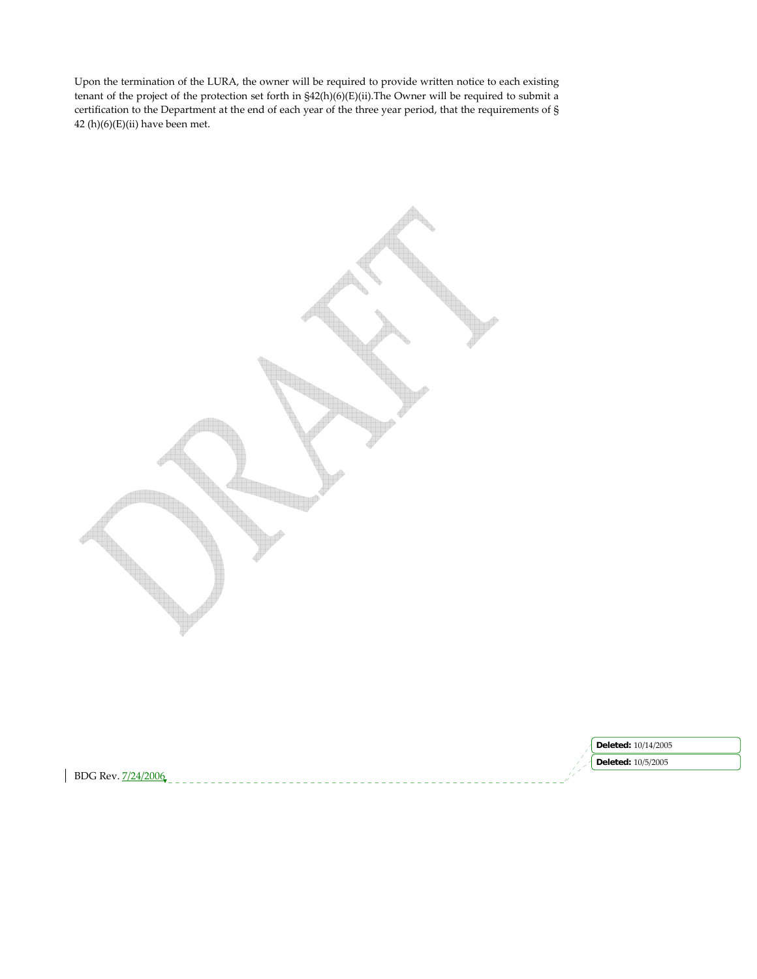Upon the termination of the LURA, the owner will be required to provide written notice to each existing tenant of the project of the protection set forth in §42(h)(6)(E)(ii).The Owner will be required to submit a certification to the Department at the end of each year of the three year period, that the requirements of § 42 $(h)(6)(E)(ii)$  have been met.

**Deleted:** 10/14/2005 **Deleted:** 10/5/2005BDG Rev. 7/24/2006  $\overline{\phantom{a}}$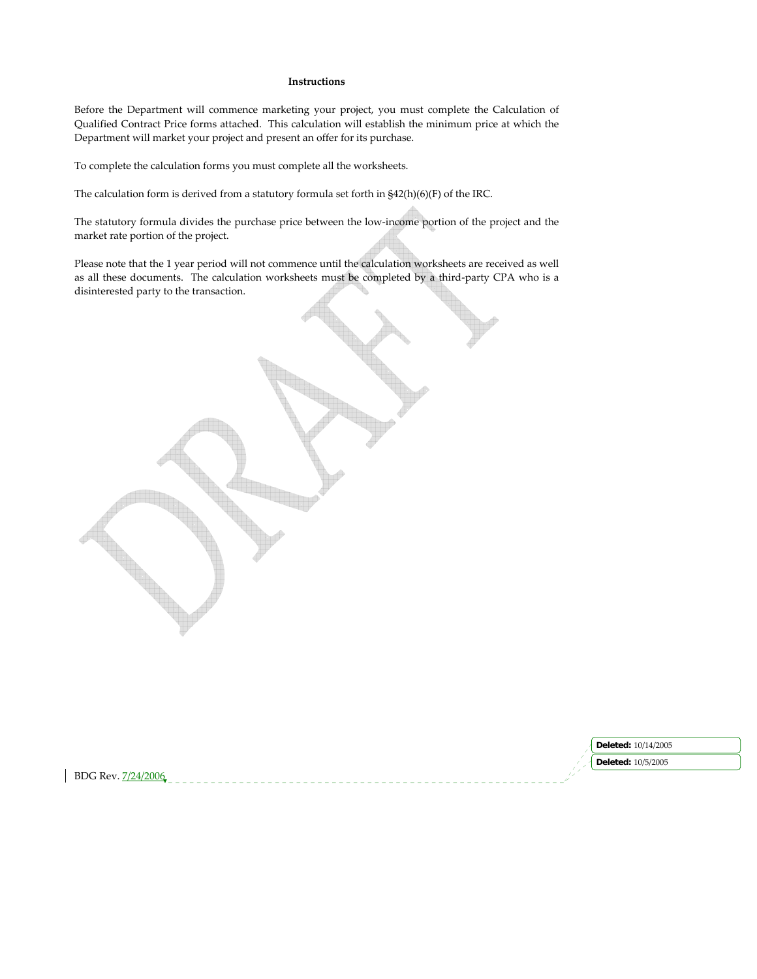#### **Instructions**

Before the Department will commence marketing your project, you must complete the Calculation of Qualified Contract Price forms attached. This calculation will establish the minimum price at which the Department will market your project and present an offer for its purchase.

To complete the calculation forms you must complete all the worksheets.

The calculation form is derived from a statutory formula set forth in §42(h)(6)(F) of the IRC.

The statutory formula divides the purchase price between the low‐income portion of the project and the market rate portion of the project.

Please note that the 1 year period will not commence until the calculation worksheets are received as well as all these documents. The calculation worksheets must be completed by a third-party CPA who is a disinterested party to the transaction.

|                                  | 4/2005<br>Deletec           |
|----------------------------------|-----------------------------|
|                                  | 10/5/2005<br><b>Deleted</b> |
| $BDC$ $Rev$<br>ിറ്ററ്റ<br>.<br>. |                             |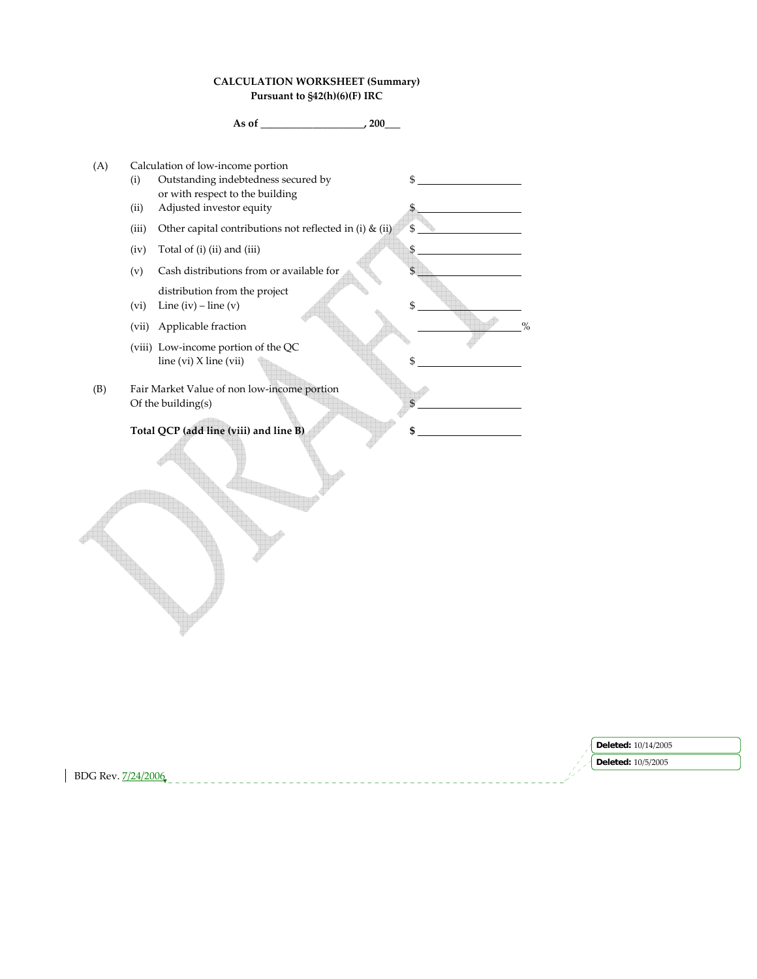## **CALCULATION WORKSHEET (Summary) Pursuant to §42(h)(6)(F) IRC**

**As of \_\_\_\_\_\_\_\_\_\_\_\_\_\_\_\_\_\_\_\_, 200\_\_\_**

(A) Calculation of low‐income portion (i) Outstanding indebtedness secured by  $\$ or with respect to the building (ii) Adjusted investor equity \$ (iii) Other capital contributions not reflected in (i) & (ii)  $\frac{1}{5}$ (iv) Total of (i) (ii) and (iii)  $\frac{1}{2}$  $(v)$  Cash distributions from or available for distribution from the project (vi) Line (iv) – line (v) (vii) Applicable fraction % (viii) Low‐income portion of the QC  $\lim_{x \to 0}$  (vi) X line (vii)  $\qquad$  \$ (B) Fair Market Value of non low‐income portion Of the building $(s)$ **Total QCP (add line (viii) and line B) \$** 

|                         | <b>Deleted:</b> 10/14/2005 |
|-------------------------|----------------------------|
|                         | <b>Deleted: 10/5/2005</b>  |
| BDG Rev. 7<br>7/24/2006 |                            |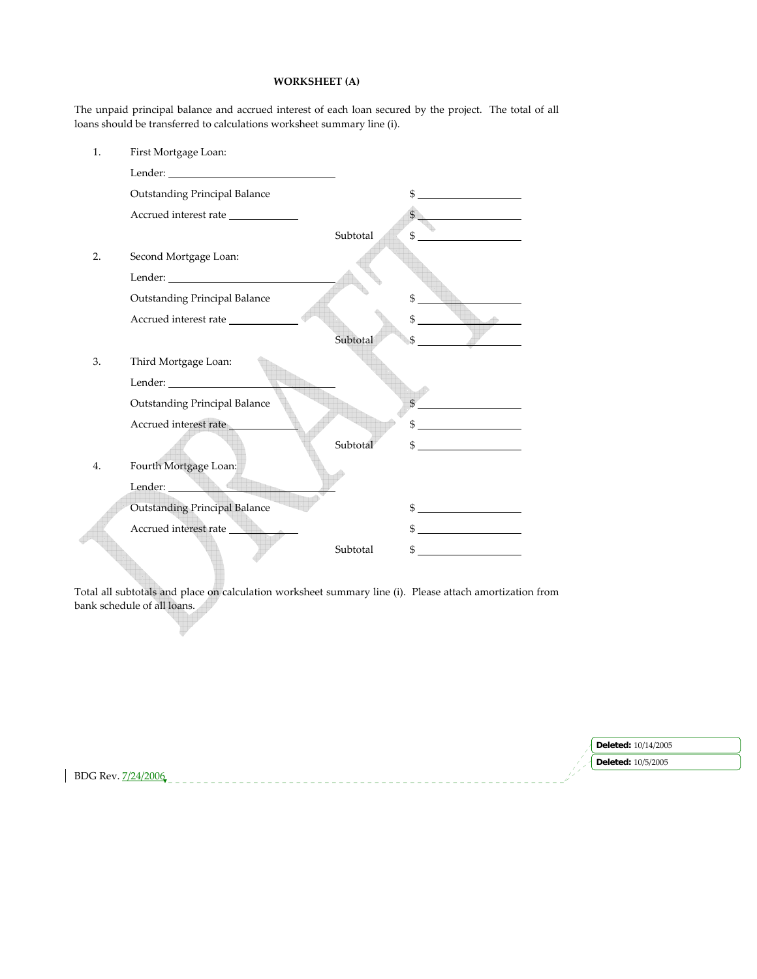## **WORKSHEET (A)**

The unpaid principal balance and accrued interest of each loan secured by the project. The total of all loans should be transferred to calculations worksheet summary line (i).

| 1. | First Mortgage Loan:                                                                                                                                                                                                           |          |                                                                                                                            |
|----|--------------------------------------------------------------------------------------------------------------------------------------------------------------------------------------------------------------------------------|----------|----------------------------------------------------------------------------------------------------------------------------|
|    |                                                                                                                                                                                                                                |          |                                                                                                                            |
|    | <b>Outstanding Principal Balance</b>                                                                                                                                                                                           |          | \$<br><u> 1989 - Jan Stein Stein Stein Stein Stein Stein Stein Stein Stein Stein Stein Stein Stein Stein Stein Stein S</u> |
|    | Accrued interest rate                                                                                                                                                                                                          |          | $\mathbb{S}$<br>the control of the control of the                                                                          |
|    |                                                                                                                                                                                                                                | Subtotal | \$                                                                                                                         |
| 2. | Second Mortgage Loan:                                                                                                                                                                                                          |          |                                                                                                                            |
|    | Lender: University of the University of the University of the University of the University of the University of the University of the University of the University of the University of the University of the University of th |          |                                                                                                                            |
|    | Outstanding Principal Balance                                                                                                                                                                                                  |          |                                                                                                                            |
|    | Accrued interest rate                                                                                                                                                                                                          |          | \$                                                                                                                         |
|    |                                                                                                                                                                                                                                | Subtotal |                                                                                                                            |
| 3. | Third Mortgage Loan:                                                                                                                                                                                                           |          |                                                                                                                            |
|    |                                                                                                                                                                                                                                |          |                                                                                                                            |
|    | <b>Outstanding Principal Balance</b>                                                                                                                                                                                           |          |                                                                                                                            |
|    | Accrued interest rate                                                                                                                                                                                                          |          |                                                                                                                            |
|    |                                                                                                                                                                                                                                | Subtotal | <u> 1989 - Jan Barbara III, prima postala prima prima prima prima prima prima prima prima prima prima prima prim</u>       |
| 4. | Fourth Mortgage Loan:                                                                                                                                                                                                          |          |                                                                                                                            |
|    | Lender: <b>1999</b>                                                                                                                                                                                                            |          |                                                                                                                            |
|    | <b>Outstanding Principal Balance</b>                                                                                                                                                                                           |          |                                                                                                                            |
|    | Accrued interest rate                                                                                                                                                                                                          |          |                                                                                                                            |
|    |                                                                                                                                                                                                                                | Subtotal |                                                                                                                            |

Total all subtotals and place on calculation worksheet summary line (i). Please attach amortization from bank schedule of all loans.

|                    | $\log$ Deleted: $10/14/2005$ |
|--------------------|------------------------------|
|                    | <b>Deleted:</b> 10/5/2005    |
| BDG Rev. 7/24/2006 |                              |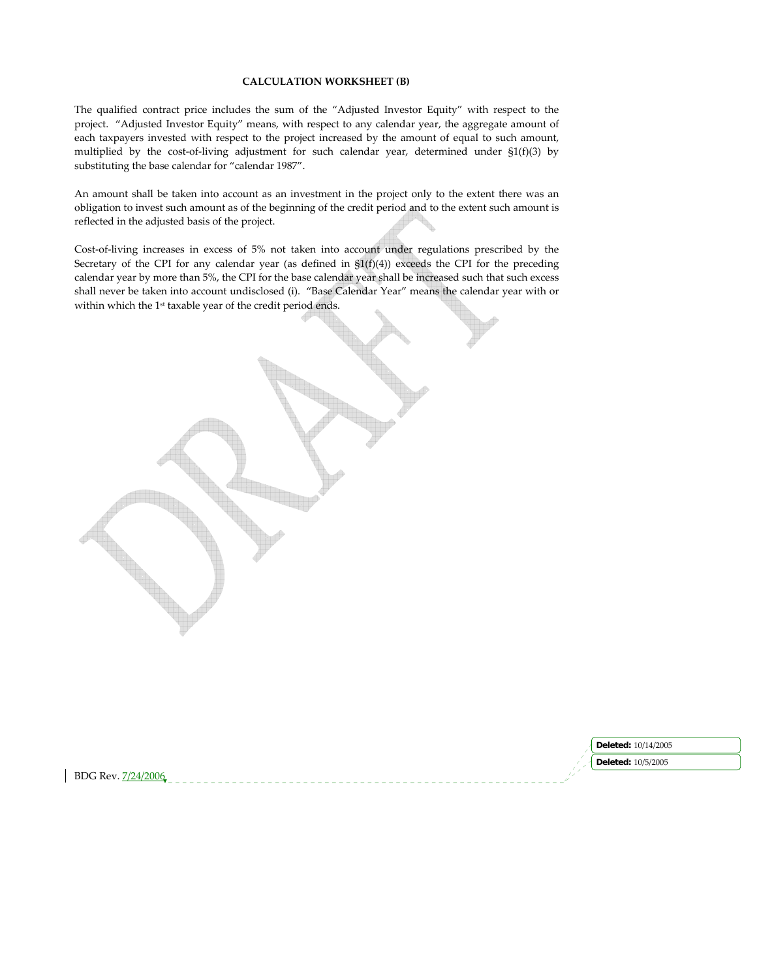#### **CALCULATION WORKSHEET (B)**

The qualified contract price includes the sum of the "Adjusted Investor Equity" with respect to the project. "Adjusted Investor Equity" means, with respect to any calendar year, the aggregate amount of each taxpayers invested with respect to the project increased by the amount of equal to such amount, multiplied by the cost-of-living adjustment for such calendar year, determined under  $\S1(f)(3)$  by substituting the base calendar for "calendar 1987".

An amount shall be taken into account as an investment in the project only to the extent there was an obligation to invest such amount as of the beginning of the credit period and to the extent such amount is reflected in the adjusted basis of the project.

Cost‐of‐living increases in excess of 5% not taken into account under regulations prescribed by the Secretary of the CPI for any calendar year (as defined in  $\frac{S1(f)(4)}{S2(f)(4)}$ ) exceeds the CPI for the preceding calendar year by more than 5%, the CPI for the base calendar year shall be increased such that such excess shall never be taken into account undisclosed (i). "Base Calendar Year" means the calendar year with or within which the 1<sup>st</sup> taxable year of the credit period ends.

|                   | 10/14/2005<br>Deleted:    |
|-------------------|---------------------------|
|                   | <b>Deleted: 10/5/2005</b> |
| BDG Rev<br>7906 F |                           |
|                   |                           |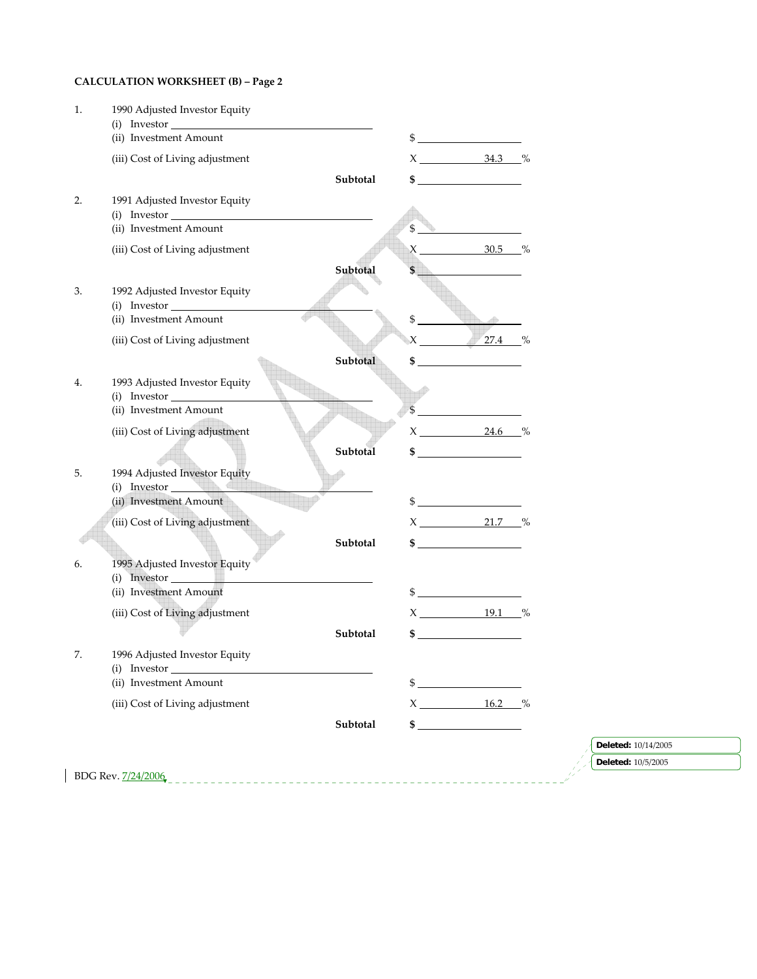# **CALCULATION WORKSHEET (B) – Page 2**

| 2. | (ii) Investment Amount<br>(iii) Cost of Living adjustment<br>1991 Adjusted Investor Equity<br>(i) Investor | Subtotal |                | $\frac{1}{2}$<br>$X_$ 34.3 $\%$                                                                                                                                                                                                                                                                                     |  |                           |
|----|------------------------------------------------------------------------------------------------------------|----------|----------------|---------------------------------------------------------------------------------------------------------------------------------------------------------------------------------------------------------------------------------------------------------------------------------------------------------------------|--|---------------------------|
|    |                                                                                                            |          |                |                                                                                                                                                                                                                                                                                                                     |  |                           |
|    |                                                                                                            |          |                |                                                                                                                                                                                                                                                                                                                     |  |                           |
|    |                                                                                                            |          |                | $\sim$                                                                                                                                                                                                                                                                                                              |  |                           |
|    |                                                                                                            |          |                |                                                                                                                                                                                                                                                                                                                     |  |                           |
|    | (ii) Investment Amount                                                                                     |          | $\mathfrak{S}$ |                                                                                                                                                                                                                                                                                                                     |  |                           |
|    | (iii) Cost of Living adjustment                                                                            |          |                | $X_2$ 30.5 %                                                                                                                                                                                                                                                                                                        |  |                           |
|    |                                                                                                            | Subtotal | \$             |                                                                                                                                                                                                                                                                                                                     |  |                           |
| 3. | 1992 Adjusted Investor Equity<br>$(i)$ Investor                                                            |          |                |                                                                                                                                                                                                                                                                                                                     |  |                           |
|    | (ii) Investment Amount                                                                                     |          | $\frac{1}{2}$  |                                                                                                                                                                                                                                                                                                                     |  |                           |
|    | (iii) Cost of Living adjustment                                                                            |          |                | $X \t 27.4 \t %$                                                                                                                                                                                                                                                                                                    |  |                           |
|    |                                                                                                            | Subtotal |                | $\frac{1}{2}$ $\frac{1}{2}$ $\frac{1}{2}$ $\frac{1}{2}$ $\frac{1}{2}$ $\frac{1}{2}$ $\frac{1}{2}$ $\frac{1}{2}$ $\frac{1}{2}$ $\frac{1}{2}$ $\frac{1}{2}$ $\frac{1}{2}$ $\frac{1}{2}$ $\frac{1}{2}$ $\frac{1}{2}$ $\frac{1}{2}$ $\frac{1}{2}$ $\frac{1}{2}$ $\frac{1}{2}$ $\frac{1}{2}$ $\frac{1}{2}$ $\frac{1}{2}$ |  |                           |
| 4. | 1993 Adjusted Investor Equity<br>$(i)$ Investor                                                            |          |                |                                                                                                                                                                                                                                                                                                                     |  |                           |
|    | (ii) Investment Amount                                                                                     |          |                | $\sim$                                                                                                                                                                                                                                                                                                              |  |                           |
|    | (iii) Cost of Living adjustment                                                                            |          |                | $X_2$ 24.6 %                                                                                                                                                                                                                                                                                                        |  |                           |
|    |                                                                                                            | Subtotal |                | $\sim$                                                                                                                                                                                                                                                                                                              |  |                           |
| 5. | 1994 Adjusted Investor Equity                                                                              |          |                |                                                                                                                                                                                                                                                                                                                     |  |                           |
|    | (i) Investor<br>(ii) Investment Amount                                                                     |          |                | $\frac{1}{2}$                                                                                                                                                                                                                                                                                                       |  |                           |
|    | (iii) Cost of Living adjustment                                                                            |          |                | $X_2$ 21.7 %                                                                                                                                                                                                                                                                                                        |  |                           |
|    |                                                                                                            |          |                | $\frac{\text{S}}{\text{S}}$                                                                                                                                                                                                                                                                                         |  |                           |
|    |                                                                                                            | Subtotal |                |                                                                                                                                                                                                                                                                                                                     |  |                           |
| 6. | 1995 Adjusted Investor Equity<br>(i) Investor                                                              |          |                |                                                                                                                                                                                                                                                                                                                     |  |                           |
|    | (ii) Investment Amount                                                                                     |          |                | $\frac{1}{2}$                                                                                                                                                                                                                                                                                                       |  |                           |
|    | (iii) Cost of Living adjustment                                                                            |          |                | $X \_ 19.1 %$                                                                                                                                                                                                                                                                                                       |  |                           |
|    |                                                                                                            | Subtotal |                | $\sim$                                                                                                                                                                                                                                                                                                              |  |                           |
| 7. | 1996 Adjusted Investor Equity<br>(i) Investor                                                              |          |                |                                                                                                                                                                                                                                                                                                                     |  |                           |
|    | (ii) Investment Amount                                                                                     |          | $\frac{3}{2}$  |                                                                                                                                                                                                                                                                                                                     |  |                           |
|    | (iii) Cost of Living adjustment                                                                            |          |                | $X \_ 16.2 \%$                                                                                                                                                                                                                                                                                                      |  |                           |
|    |                                                                                                            | Subtotal |                | $\sim$                                                                                                                                                                                                                                                                                                              |  |                           |
|    |                                                                                                            |          |                |                                                                                                                                                                                                                                                                                                                     |  | Deleted: 10/14/2005       |
|    |                                                                                                            |          |                |                                                                                                                                                                                                                                                                                                                     |  | <b>Deleted:</b> 10/5/2005 |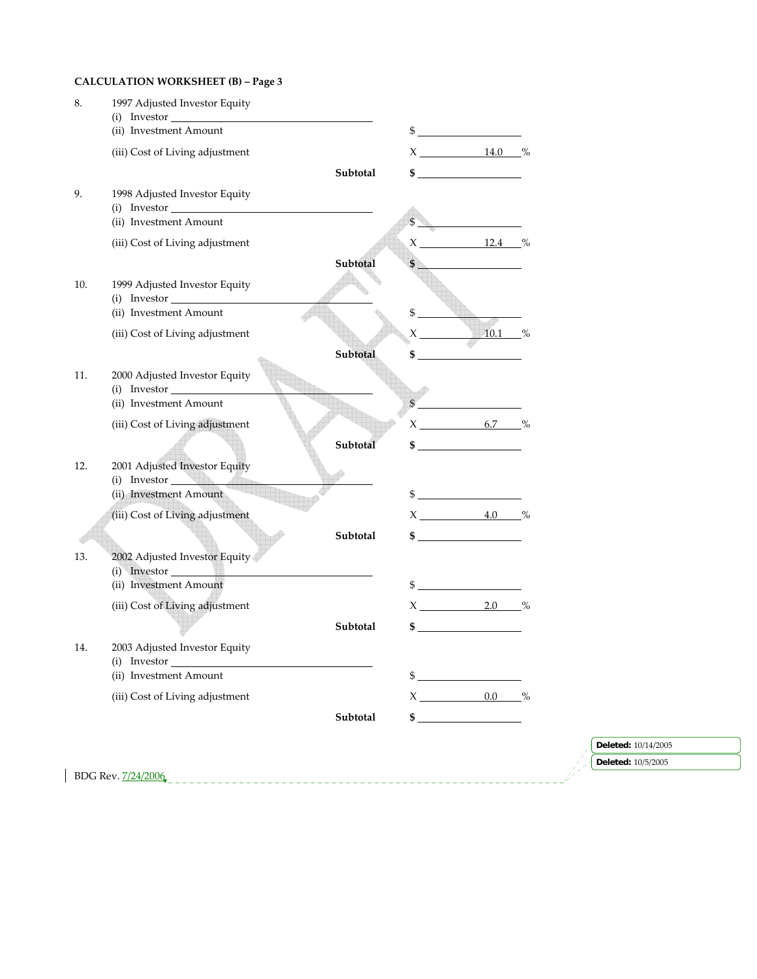# **CALCULATION WORKSHEET (B) – Page 3**

| 8.  | 1997 Adjusted Investor Equity<br>(i) Investor<br>(ii) Investment Amount |          |             | $\frac{1}{2}$               |  |                                           |  |
|-----|-------------------------------------------------------------------------|----------|-------------|-----------------------------|--|-------------------------------------------|--|
|     | (iii) Cost of Living adjustment                                         |          |             | $X_1$ 14.0 %                |  |                                           |  |
|     |                                                                         | Subtotal |             | $\frac{1}{2}$               |  |                                           |  |
| 9.  | 1998 Adjusted Investor Equity<br>$(i)$ Investor $\_$                    |          |             |                             |  |                                           |  |
|     | (ii) Investment Amount                                                  |          |             |                             |  |                                           |  |
|     | (iii) Cost of Living adjustment                                         | Subtotal |             | $X_1$ 12.4 $\%$             |  |                                           |  |
| 10. | 1999 Adjusted Investor Equity<br>$(i)$ Investor                         |          |             |                             |  |                                           |  |
|     | (ii) Investment Amount                                                  |          | $$^{\circ}$ |                             |  |                                           |  |
|     | (iii) Cost of Living adjustment                                         |          |             | $X = 10.1 %$                |  |                                           |  |
|     |                                                                         | Subtotal |             | $\sim$ 5                    |  |                                           |  |
| 11. | 2000 Adjusted Investor Equity<br>(i) Investor                           |          |             |                             |  |                                           |  |
|     | (ii) Investment Amount                                                  |          |             | $\frac{1}{2}$               |  |                                           |  |
|     | (iii) Cost of Living adjustment                                         |          |             | $X \t 6.7 %$                |  |                                           |  |
|     |                                                                         | Subtotal |             | $\frac{1}{2}$               |  |                                           |  |
| 12. | 2001 Adjusted Investor Equity<br>$(i)$ Investor $\qquad$                |          |             |                             |  |                                           |  |
|     | (ii) Investment Amount                                                  |          |             | $\frac{1}{2}$               |  |                                           |  |
|     | (iii) Cost of Living adjustment                                         |          |             | $X \t 4.0 \t %$             |  |                                           |  |
|     |                                                                         | Subtotal |             | $\frac{\text{S}}{\text{S}}$ |  |                                           |  |
| 13. | 2002 Adjusted Investor Equity<br>(i) Investor                           |          |             |                             |  |                                           |  |
|     | (ii) Investment Amount                                                  |          |             | $\frac{1}{2}$               |  |                                           |  |
|     | (iii) Cost of Living adjustment                                         |          |             | $X_2$ 2.0 %                 |  |                                           |  |
|     |                                                                         | Subtotal |             | $\sim$                      |  |                                           |  |
| 14. | 2003 Adjusted Investor Equity<br>(i) Investor                           |          |             |                             |  |                                           |  |
|     | (ii) Investment Amount                                                  |          |             | $\frac{1}{2}$               |  |                                           |  |
|     | (iii) Cost of Living adjustment                                         |          |             | $X \t 0.0 \t %$             |  |                                           |  |
|     |                                                                         | Subtotal |             | $\sim$                      |  |                                           |  |
|     |                                                                         |          |             |                             |  |                                           |  |
|     |                                                                         |          |             |                             |  | Deleted: 10/14/2005<br>Deleted: 10/5/2005 |  |
|     | BDG Rev. 7/24/2006                                                      |          |             |                             |  |                                           |  |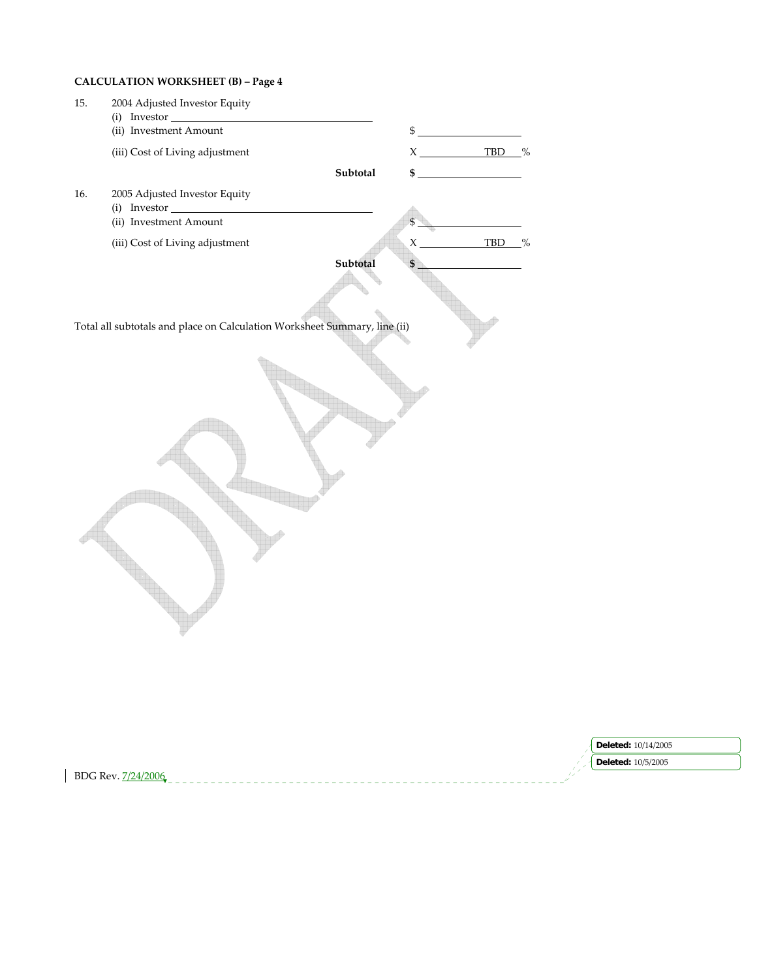# **CALCULATION WORKSHEET (B) – Page 4**

| 15. | 2004 Adjusted Investor Equity                                             |             |                          |                     |
|-----|---------------------------------------------------------------------------|-------------|--------------------------|---------------------|
|     | $(i)$ Investor<br>(ii) Investment Amount                                  |             | $\frac{1}{2}$            |                     |
|     | (iii) Cost of Living adjustment                                           |             | $X \xrightarrow{TBD} \%$ |                     |
|     | Subtotal                                                                  | \$.         |                          |                     |
| 16. | 2005 Adjusted Investor Equity                                             |             |                          |                     |
|     | (i) Investor                                                              |             |                          |                     |
|     | (ii) Investment Amount                                                    | \$          |                          |                     |
|     | (iii) Cost of Living adjustment                                           | $\mathsf X$ | TBD %                    |                     |
|     | Subtotal                                                                  |             |                          |                     |
|     | Total all subtotals and place on Calculation Worksheet Summary, line (ii) |             |                          |                     |
|     |                                                                           |             |                          |                     |
|     |                                                                           |             |                          | Deleted: 10/14/2005 |

BDG Rev. 7/24/2006

**Deleted:** 10/5/2005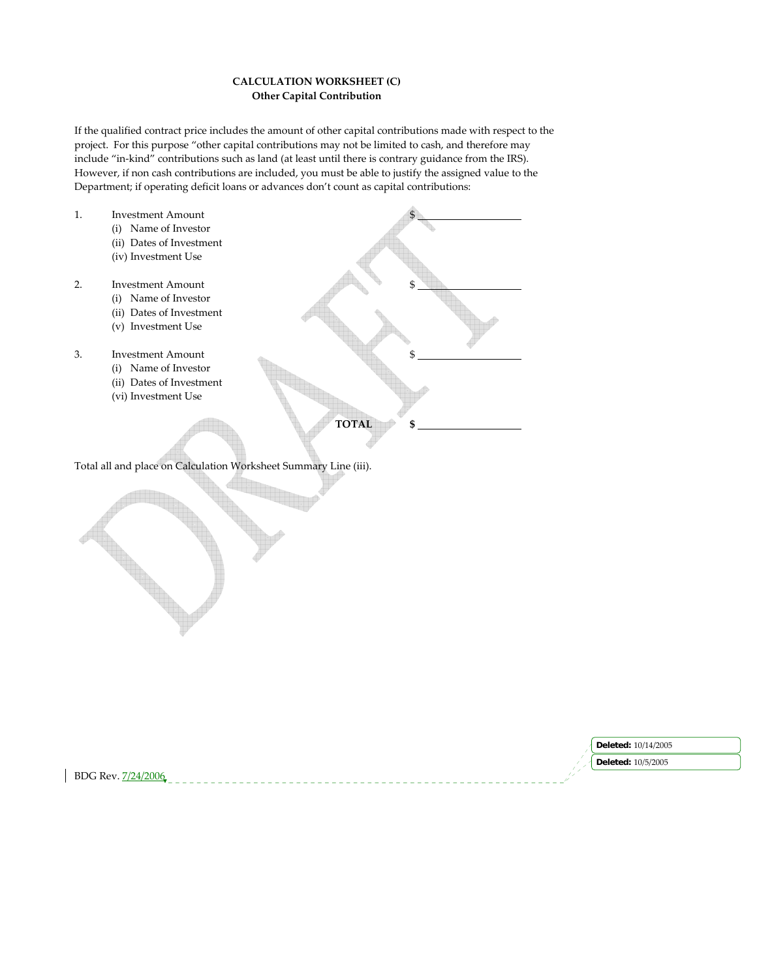## **CALCULATION WORKSHEET (C) Other Capital Contribution**

If the qualified contract price includes the amount of other capital contributions made with respect to the project. For this purpose "other capital contributions may not be limited to cash, and therefore may include "in-kind" contributions such as land (at least until there is contrary guidance from the IRS). However, if non cash contributions are included, you must be able to justify the assigned value to the Department; if operating deficit loans or advances don't count as capital contributions:

1. Investment Amount (i) Name of Investor (ii) Dates of Investment (iv) Investment Use 2. Investment Amount (i) Name of Investor (ii) Dates of Investment (v) Investment Use 3. Investment Amount (i) Name of Investor (ii) Dates of Investment (vi) Investment Use **TOTAL \$** 

Total all and place on Calculation Worksheet Summary Line (iii).

|                    | <b>Deleted:</b> 10/14/2005 |
|--------------------|----------------------------|
|                    | <b>Deleted:</b> 10/5/2005  |
| BDG Rev. 7/24/2006 |                            |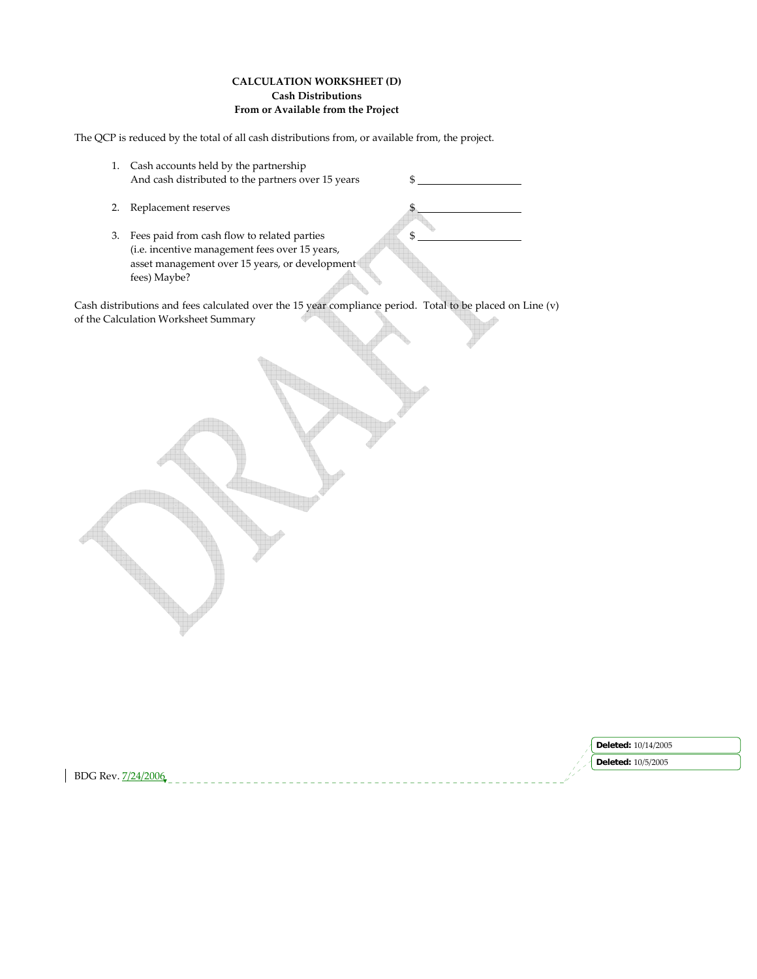## **CALCULATION WORKSHEET (D) Cash Distributions From or Available from the Project**

The QCP is reduced by the total of all cash distributions from, or available from, the project.

- 1. Cash accounts held by the partnership And cash distributed to the partners over 15 years \$
- 2. Replacement reserves
- 3. Fees paid from cash flow to related parties  $\frac{1}{2}$  \$ (i.e. incentive management fees over 15 years, asset management over 15 years, or development fees) Maybe?

Cash distributions and fees calculated over the 15 year compliance period. Total to be placed on Line (v) of the Calculation Worksheet Summary

|                                        | 14/2005<br>Deleted   |
|----------------------------------------|----------------------|
|                                        | 10/5/2005<br>Deletea |
| <b>BDG</b> Rev.<br>12006<br>$\cdots$ . |                      |
|                                        |                      |